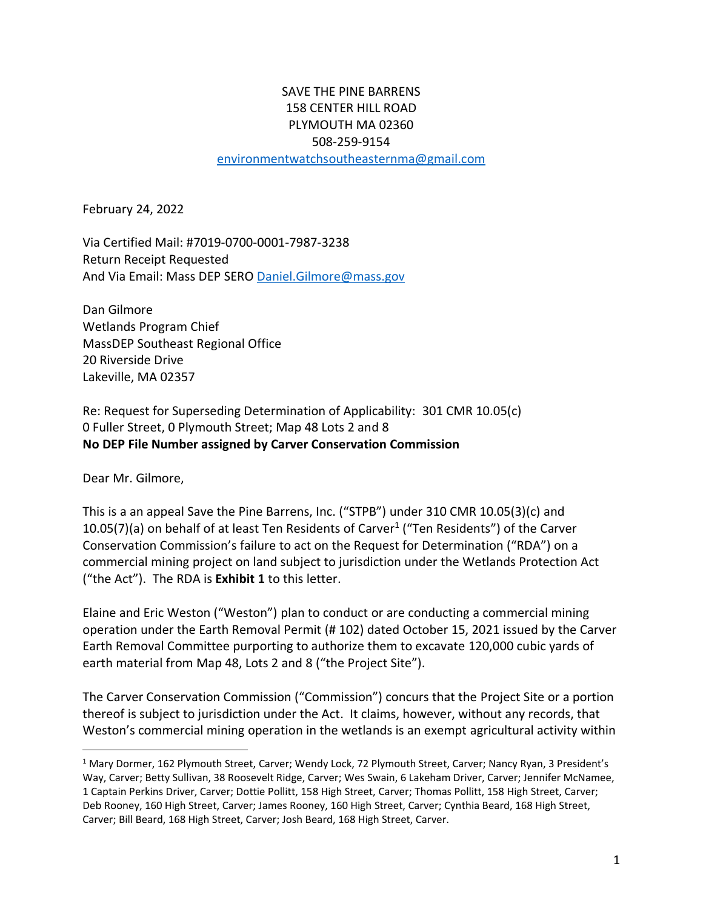## SAVE THE PINE BARRENS 158 CENTER HILL ROAD PLYMOUTH MA 02360 508-259-9154 [environmentwatchsoutheasternma@gmail.com](mailto:environmentwatchsoutheasternma@gmail.com)

February 24, 2022

Via Certified Mail: #7019-0700-0001-7987-3238 Return Receipt Requested And Via Email: Mass DEP SER[O Daniel.Gilmore@mass.gov](mailto:Daniel.Gilmore@mass.gov)

Dan Gilmore Wetlands Program Chief MassDEP Southeast Regional Office 20 Riverside Drive Lakeville, MA 02357

Re: Request for Superseding Determination of Applicability: 301 CMR 10.05(c) 0 Fuller Street, 0 Plymouth Street; Map 48 Lots 2 and 8 **No DEP File Number assigned by Carver Conservation Commission**

Dear Mr. Gilmore,

This is a an appeal Save the Pine Barrens, Inc. ("STPB") under 310 CMR 10.05(3)(c) and 10.05(7)(a) on behalf of at least Ten Residents of Carver<sup>1</sup> ("Ten Residents") of the Carver Conservation Commission's failure to act on the Request for Determination ("RDA") on a commercial mining project on land subject to jurisdiction under the Wetlands Protection Act ("the Act"). The RDA is **Exhibit 1** to this letter.

Elaine and Eric Weston ("Weston") plan to conduct or are conducting a commercial mining operation under the Earth Removal Permit (# 102) dated October 15, 2021 issued by the Carver Earth Removal Committee purporting to authorize them to excavate 120,000 cubic yards of earth material from Map 48, Lots 2 and 8 ("the Project Site").

The Carver Conservation Commission ("Commission") concurs that the Project Site or a portion thereof is subject to jurisdiction under the Act. It claims, however, without any records, that Weston's commercial mining operation in the wetlands is an exempt agricultural activity within

<sup>1</sup> Mary Dormer, 162 Plymouth Street, Carver; Wendy Lock, 72 Plymouth Street, Carver; Nancy Ryan, 3 President's Way, Carver; Betty Sullivan, 38 Roosevelt Ridge, Carver; Wes Swain, 6 Lakeham Driver, Carver; Jennifer McNamee, 1 Captain Perkins Driver, Carver; Dottie Pollitt, 158 High Street, Carver; Thomas Pollitt, 158 High Street, Carver; Deb Rooney, 160 High Street, Carver; James Rooney, 160 High Street, Carver; Cynthia Beard, 168 High Street, Carver; Bill Beard, 168 High Street, Carver; Josh Beard, 168 High Street, Carver.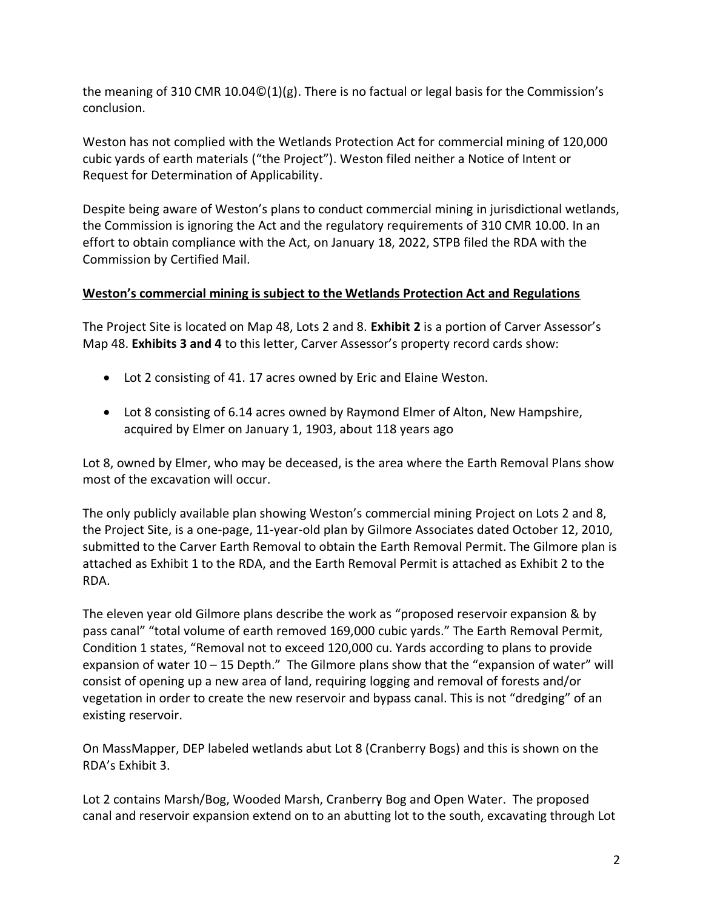the meaning of 310 CMR 10.04 $\mathcal{O}(1)(g)$ . There is no factual or legal basis for the Commission's conclusion.

Weston has not complied with the Wetlands Protection Act for commercial mining of 120,000 cubic yards of earth materials ("the Project"). Weston filed neither a Notice of Intent or Request for Determination of Applicability.

Despite being aware of Weston's plans to conduct commercial mining in jurisdictional wetlands, the Commission is ignoring the Act and the regulatory requirements of 310 CMR 10.00. In an effort to obtain compliance with the Act, on January 18, 2022, STPB filed the RDA with the Commission by Certified Mail.

## **Weston's commercial mining is subject to the Wetlands Protection Act and Regulations**

The Project Site is located on Map 48, Lots 2 and 8. **Exhibit 2** is a portion of Carver Assessor's Map 48. **Exhibits 3 and 4** to this letter, Carver Assessor's property record cards show:

- Lot 2 consisting of 41. 17 acres owned by Eric and Elaine Weston.
- Lot 8 consisting of 6.14 acres owned by Raymond Elmer of Alton, New Hampshire, acquired by Elmer on January 1, 1903, about 118 years ago

Lot 8, owned by Elmer, who may be deceased, is the area where the Earth Removal Plans show most of the excavation will occur.

The only publicly available plan showing Weston's commercial mining Project on Lots 2 and 8, the Project Site, is a one-page, 11-year-old plan by Gilmore Associates dated October 12, 2010, submitted to the Carver Earth Removal to obtain the Earth Removal Permit. The Gilmore plan is attached as Exhibit 1 to the RDA, and the Earth Removal Permit is attached as Exhibit 2 to the RDA.

The eleven year old Gilmore plans describe the work as "proposed reservoir expansion & by pass canal" "total volume of earth removed 169,000 cubic yards." The Earth Removal Permit, Condition 1 states, "Removal not to exceed 120,000 cu. Yards according to plans to provide expansion of water 10 – 15 Depth." The Gilmore plans show that the "expansion of water" will consist of opening up a new area of land, requiring logging and removal of forests and/or vegetation in order to create the new reservoir and bypass canal. This is not "dredging" of an existing reservoir.

On MassMapper, DEP labeled wetlands abut Lot 8 (Cranberry Bogs) and this is shown on the RDA's Exhibit 3.

Lot 2 contains Marsh/Bog, Wooded Marsh, Cranberry Bog and Open Water. The proposed canal and reservoir expansion extend on to an abutting lot to the south, excavating through Lot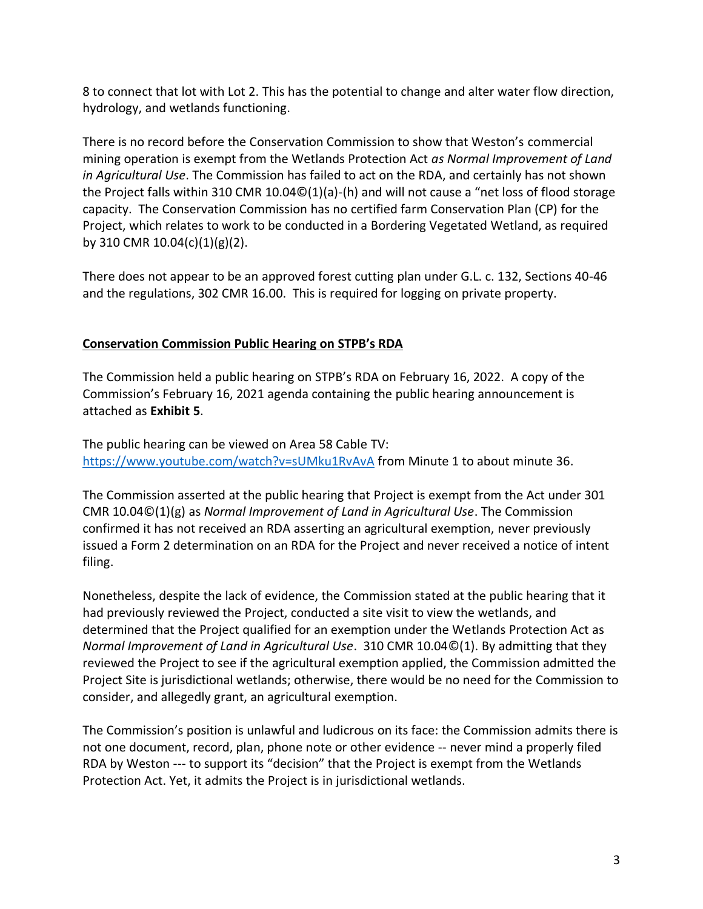8 to connect that lot with Lot 2. This has the potential to change and alter water flow direction, hydrology, and wetlands functioning.

There is no record before the Conservation Commission to show that Weston's commercial mining operation is exempt from the Wetlands Protection Act *as Normal Improvement of Land in Agricultural Use*. The Commission has failed to act on the RDA, and certainly has not shown the Project falls within 310 CMR 10.04©(1)(a)-(h) and will not cause a "net loss of flood storage capacity. The Conservation Commission has no certified farm Conservation Plan (CP) for the Project, which relates to work to be conducted in a Bordering Vegetated Wetland, as required by 310 CMR 10.04(c)(1)(g)(2).

There does not appear to be an approved forest cutting plan under G.L. c. 132, Sections 40-46 and the regulations, 302 CMR 16.00. This is required for logging on private property.

## **Conservation Commission Public Hearing on STPB's RDA**

The Commission held a public hearing on STPB's RDA on February 16, 2022. A copy of the Commission's February 16, 2021 agenda containing the public hearing announcement is attached as **Exhibit 5**.

The public hearing can be viewed on Area 58 Cable TV: <https://www.youtube.com/watch?v=sUMku1RvAvA> from Minute 1 to about minute 36.

The Commission asserted at the public hearing that Project is exempt from the Act under 301 CMR 10.04©(1)(g) as *Normal Improvement of Land in Agricultural Use*. The Commission confirmed it has not received an RDA asserting an agricultural exemption, never previously issued a Form 2 determination on an RDA for the Project and never received a notice of intent filing.

Nonetheless, despite the lack of evidence, the Commission stated at the public hearing that it had previously reviewed the Project, conducted a site visit to view the wetlands, and determined that the Project qualified for an exemption under the Wetlands Protection Act as *Normal Improvement of Land in Agricultural Use*. 310 CMR 10.04©(1). By admitting that they reviewed the Project to see if the agricultural exemption applied, the Commission admitted the Project Site is jurisdictional wetlands; otherwise, there would be no need for the Commission to consider, and allegedly grant, an agricultural exemption.

The Commission's position is unlawful and ludicrous on its face: the Commission admits there is not one document, record, plan, phone note or other evidence -- never mind a properly filed RDA by Weston --- to support its "decision" that the Project is exempt from the Wetlands Protection Act. Yet, it admits the Project is in jurisdictional wetlands.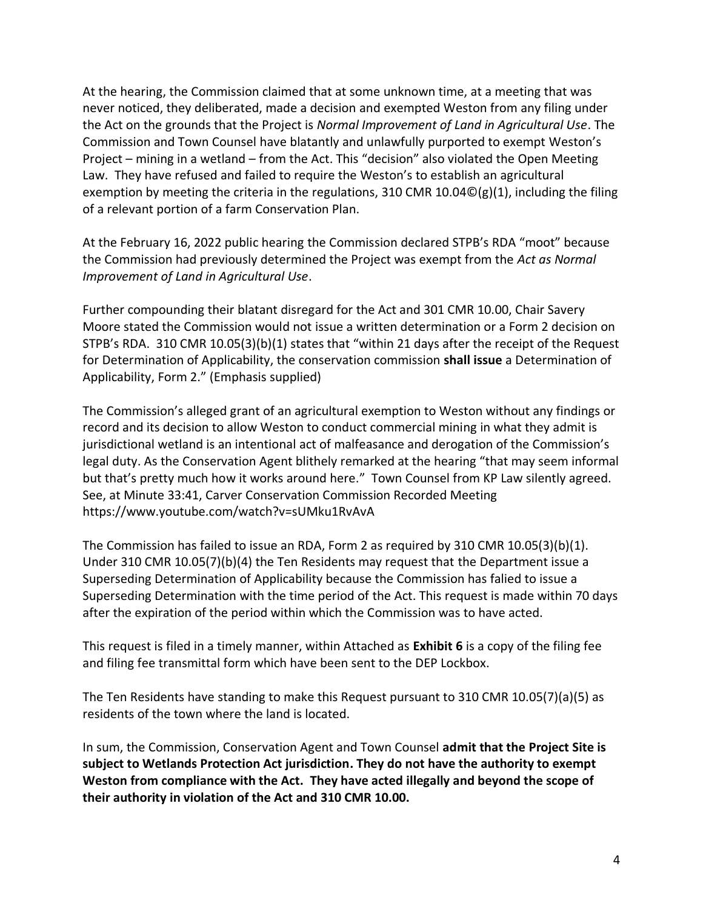At the hearing, the Commission claimed that at some unknown time, at a meeting that was never noticed, they deliberated, made a decision and exempted Weston from any filing under the Act on the grounds that the Project is *Normal Improvement of Land in Agricultural Use*. The Commission and Town Counsel have blatantly and unlawfully purported to exempt Weston's Project – mining in a wetland – from the Act. This "decision" also violated the Open Meeting Law. They have refused and failed to require the Weston's to establish an agricultural exemption by meeting the criteria in the regulations, 310 CMR 10.04©(g)(1), including the filing of a relevant portion of a farm Conservation Plan.

At the February 16, 2022 public hearing the Commission declared STPB's RDA "moot" because the Commission had previously determined the Project was exempt from the *Act as Normal Improvement of Land in Agricultural Use*.

Further compounding their blatant disregard for the Act and 301 CMR 10.00, Chair Savery Moore stated the Commission would not issue a written determination or a Form 2 decision on STPB's RDA. 310 CMR 10.05(3)(b)(1) states that "within 21 days after the receipt of the Request for Determination of Applicability, the conservation commission **shall issue** a Determination of Applicability, Form 2." (Emphasis supplied)

The Commission's alleged grant of an agricultural exemption to Weston without any findings or record and its decision to allow Weston to conduct commercial mining in what they admit is jurisdictional wetland is an intentional act of malfeasance and derogation of the Commission's legal duty. As the Conservation Agent blithely remarked at the hearing "that may seem informal but that's pretty much how it works around here." Town Counsel from KP Law silently agreed. See, at Minute 33:41, Carver Conservation Commission Recorded Meeting https://www.youtube.com/watch?v=sUMku1RvAvA

The Commission has failed to issue an RDA, Form 2 as required by 310 CMR 10.05(3)(b)(1). Under 310 CMR 10.05(7)(b)(4) the Ten Residents may request that the Department issue a Superseding Determination of Applicability because the Commission has falied to issue a Superseding Determination with the time period of the Act. This request is made within 70 days after the expiration of the period within which the Commission was to have acted.

This request is filed in a timely manner, within Attached as **Exhibit 6** is a copy of the filing fee and filing fee transmittal form which have been sent to the DEP Lockbox.

The Ten Residents have standing to make this Request pursuant to 310 CMR 10.05(7)(a)(5) as residents of the town where the land is located.

In sum, the Commission, Conservation Agent and Town Counsel **admit that the Project Site is subject to Wetlands Protection Act jurisdiction. They do not have the authority to exempt Weston from compliance with the Act. They have acted illegally and beyond the scope of their authority in violation of the Act and 310 CMR 10.00.**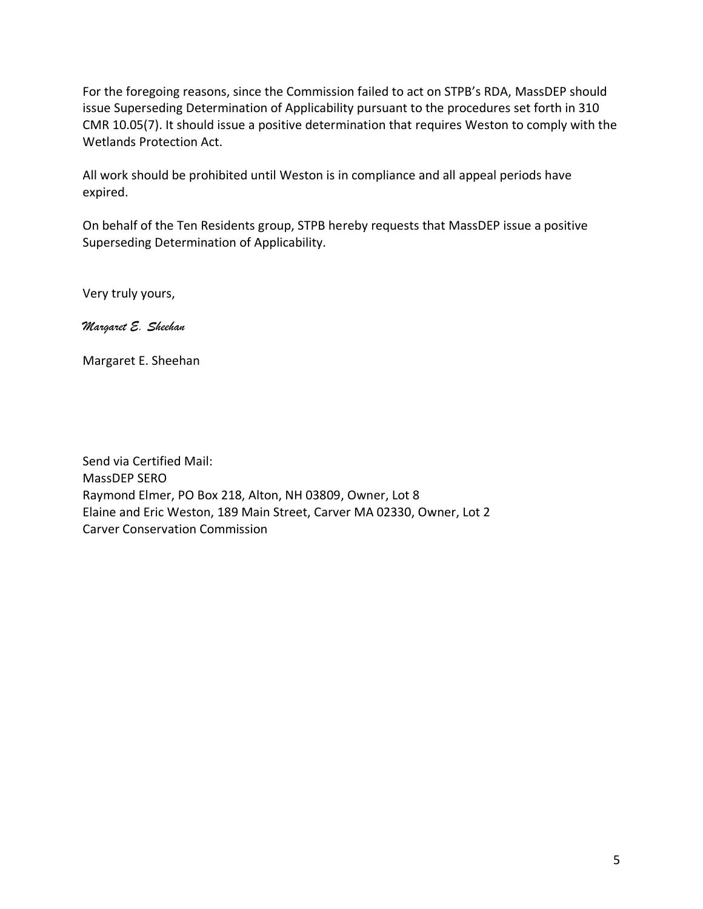For the foregoing reasons, since the Commission failed to act on STPB's RDA, MassDEP should issue Superseding Determination of Applicability pursuant to the procedures set forth in 310 CMR 10.05(7). It should issue a positive determination that requires Weston to comply with the Wetlands Protection Act.

All work should be prohibited until Weston is in compliance and all appeal periods have expired.

On behalf of the Ten Residents group, STPB hereby requests that MassDEP issue a positive Superseding Determination of Applicability.

Very truly yours,

*Margaret E. Sheehan*

Margaret E. Sheehan

Send via Certified Mail: MassDEP SERO Raymond Elmer, PO Box 218, Alton, NH 03809, Owner, Lot 8 Elaine and Eric Weston, 189 Main Street, Carver MA 02330, Owner, Lot 2 Carver Conservation Commission